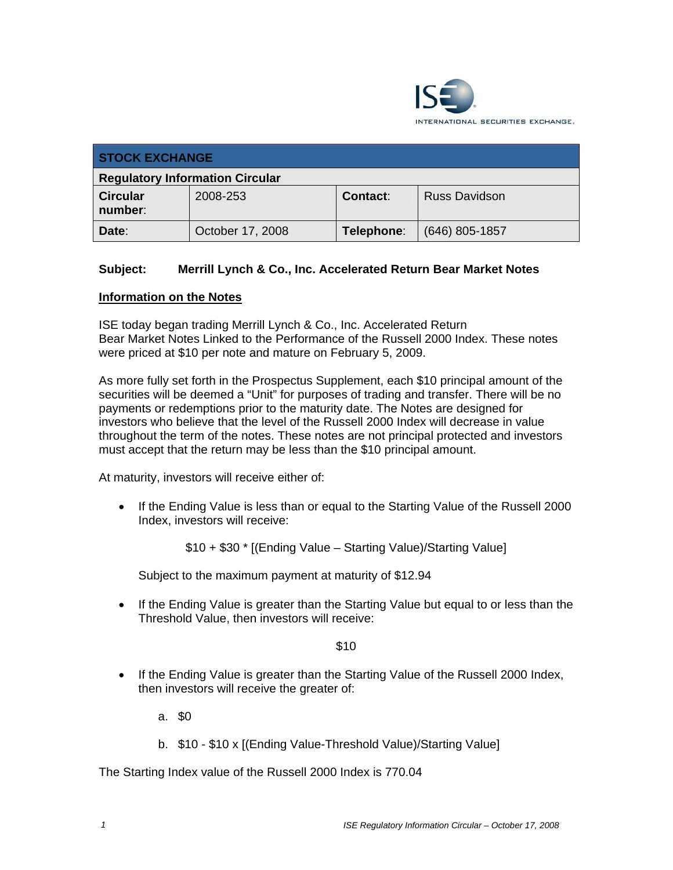

| <b>STOCK EXCHANGE</b>                  |                  |            |                      |
|----------------------------------------|------------------|------------|----------------------|
| <b>Regulatory Information Circular</b> |                  |            |                      |
| <b>Circular</b><br>number:             | 2008-253         | Contact:   | <b>Russ Davidson</b> |
| Date:                                  | October 17, 2008 | Telephone: | $(646)$ 805-1857     |

## **Subject: Merrill Lynch & Co., Inc. Accelerated Return Bear Market Notes**

## **Information on the Notes**

ISE today began trading Merrill Lynch & Co., Inc. Accelerated Return Bear Market Notes Linked to the Performance of the Russell 2000 Index. These notes were priced at \$10 per note and mature on February 5, 2009.

As more fully set forth in the Prospectus Supplement, each \$10 principal amount of the securities will be deemed a "Unit" for purposes of trading and transfer. There will be no payments or redemptions prior to the maturity date. The Notes are designed for investors who believe that the level of the Russell 2000 Index will decrease in value throughout the term of the notes. These notes are not principal protected and investors must accept that the return may be less than the \$10 principal amount.

At maturity, investors will receive either of:

• If the Ending Value is less than or equal to the Starting Value of the Russell 2000 Index, investors will receive:

\$10 + \$30 \* [(Ending Value – Starting Value)/Starting Value]

Subject to the maximum payment at maturity of \$12.94

• If the Ending Value is greater than the Starting Value but equal to or less than the Threshold Value, then investors will receive:

\$10

• If the Ending Value is greater than the Starting Value of the Russell 2000 Index, then investors will receive the greater of:

a. \$0

b. \$10 - \$10 x [(Ending Value-Threshold Value)/Starting Value]

The Starting Index value of the Russell 2000 Index is 770.04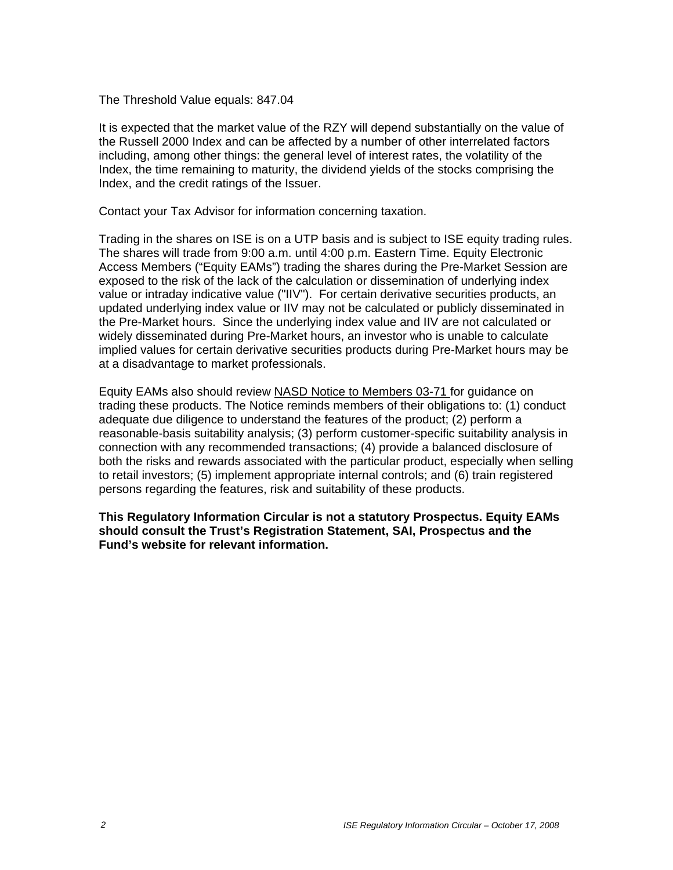The Threshold Value equals: 847.04

It is expected that the market value of the RZY will depend substantially on the value of the Russell 2000 Index and can be affected by a number of other interrelated factors including, among other things: the general level of interest rates, the volatility of the Index, the time remaining to maturity, the dividend yields of the stocks comprising the Index, and the credit ratings of the Issuer.

Contact your Tax Advisor for information concerning taxation.

Trading in the shares on ISE is on a UTP basis and is subject to ISE equity trading rules. The shares will trade from 9:00 a.m. until 4:00 p.m. Eastern Time. Equity Electronic Access Members ("Equity EAMs") trading the shares during the Pre-Market Session are exposed to the risk of the lack of the calculation or dissemination of underlying index value or intraday indicative value ("IIV"). For certain derivative securities products, an updated underlying index value or IIV may not be calculated or publicly disseminated in the Pre-Market hours. Since the underlying index value and IIV are not calculated or widely disseminated during Pre-Market hours, an investor who is unable to calculate implied values for certain derivative securities products during Pre-Market hours may be at a disadvantage to market professionals.

Equity EAMs also should review NASD Notice to Members 03-71 for guidance on trading these products. The Notice reminds members of their obligations to: (1) conduct adequate due diligence to understand the features of the product; (2) perform a reasonable-basis suitability analysis; (3) perform customer-specific suitability analysis in connection with any recommended transactions; (4) provide a balanced disclosure of both the risks and rewards associated with the particular product, especially when selling to retail investors; (5) implement appropriate internal controls; and (6) train registered persons regarding the features, risk and suitability of these products.

**This Regulatory Information Circular is not a statutory Prospectus. Equity EAMs should consult the Trust's Registration Statement, SAI, Prospectus and the Fund's website for relevant information.**